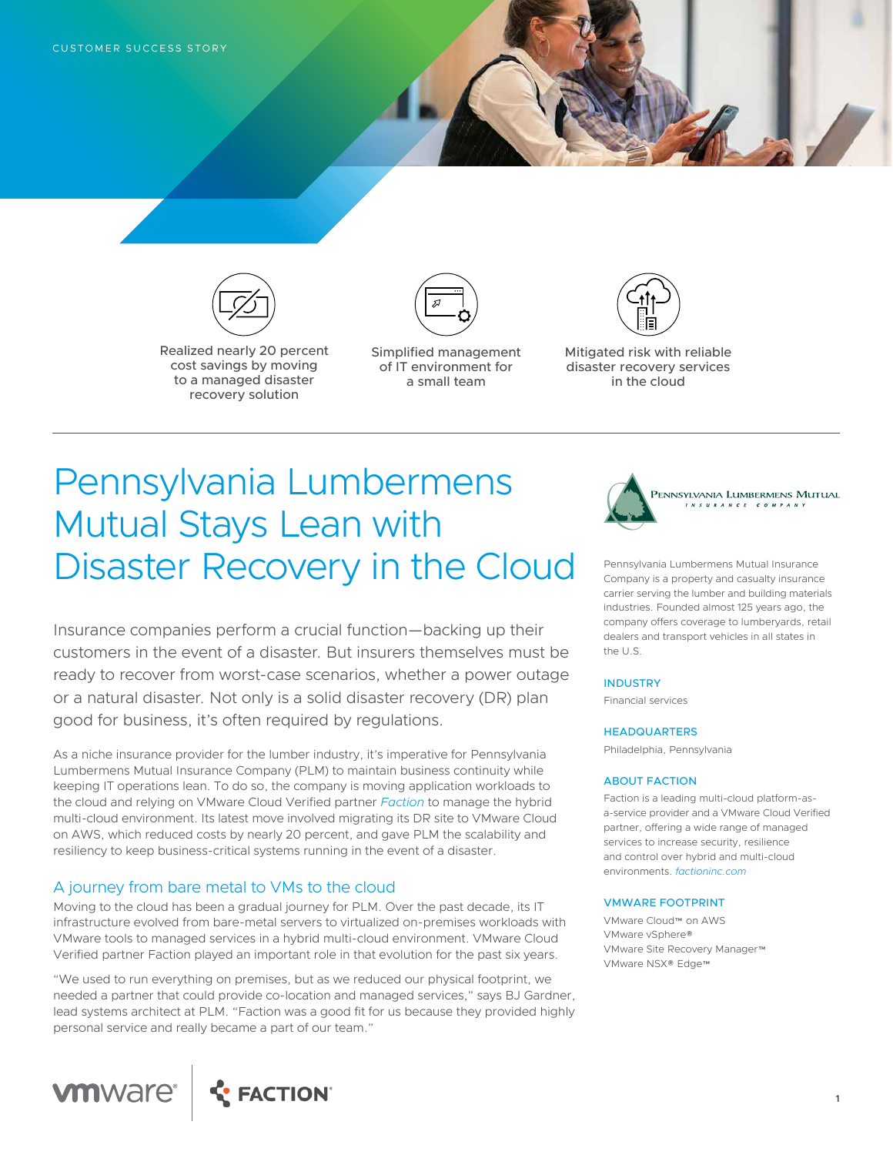

Realized nearly 20 percent cost savings by moving to a managed disaster recovery solution



Simplified management of IT environment for a small team



Mitigated risk with reliable disaster recovery services in the cloud

# Pennsylvania Lumbermens Mutual Stays Lean with Disaster Recovery in the Cloud

Insurance companies perform a crucial function—backing up their customers in the event of a disaster. But insurers themselves must be ready to recover from worst-case scenarios, whether a power outage or a natural disaster. Not only is a solid disaster recovery (DR) plan good for business, it's often required by regulations.

As a niche insurance provider for the lumber industry, it's imperative for Pennsylvania Lumbermens Mutual Insurance Company (PLM) to maintain business continuity while keeping IT operations lean. To do so, the company is moving application workloads to the cloud and relying on VMware Cloud Verified partner *[Faction](http://www.factioninc.com)* to manage the hybrid multi-cloud environment. Its latest move involved migrating its DR site to VMware Cloud on AWS, which reduced costs by nearly 20 percent, and gave PLM the scalability and resiliency to keep business-critical systems running in the event of a disaster.

# A journey from bare metal to VMs to the cloud

Moving to the cloud has been a gradual journey for PLM. Over the past decade, its IT infrastructure evolved from bare-metal servers to virtualized on-premises workloads with VMware tools to managed services in a hybrid multi-cloud environment. VMware Cloud Verified partner Faction played an important role in that evolution for the past six years.

"We used to run everything on premises, but as we reduced our physical footprint, we needed a partner that could provide co-location and managed services," says BJ Gardner, lead systems architect at PLM. "Faction was a good fit for us because they provided highly personal service and really became a part of our team."





Pennsylvania Lumbermens Mutual Insurance Company is a property and casualty insurance carrier serving the lumber and building materials industries. Founded almost 125 years ago, the company offers coverage to lumberyards, retail dealers and transport vehicles in all states in the U.S.

### **INDUSTRY**

Financial services

#### **HEADQUARTERS**

Philadelphia, Pennsylvania

#### ABOUT FACTION

Faction is a leading multi-cloud platform-asa-service provider and a VMware Cloud Verified partner, offering a wide range of managed services to increase security, resilience and control over hybrid and multi-cloud environments. *[factioninc.com](http://www.factioninc.com)*

#### VMWARE FOOTPRINT

VMware Cloud™ on AWS VMware vSphere® VMware Site Recovery Manager™ VMware NSX® Edge™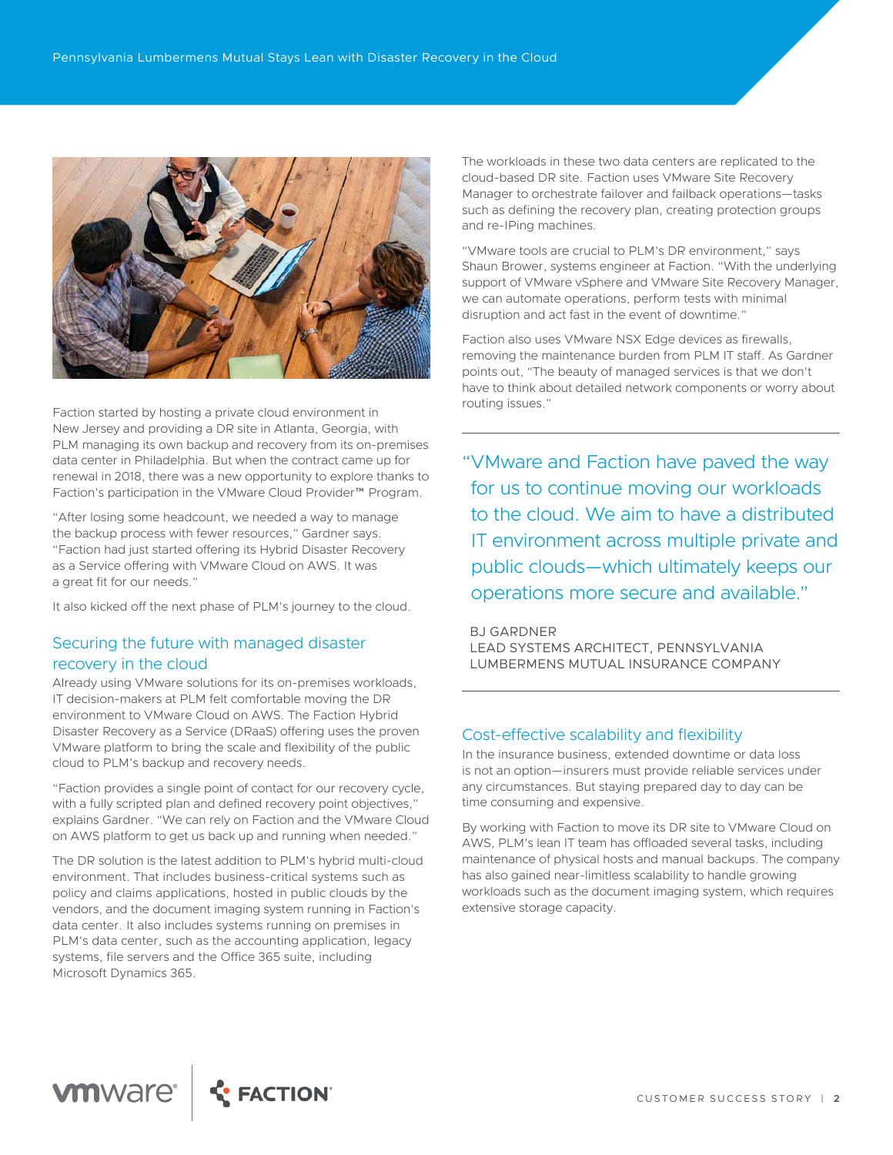

routing issues." Faction started by hosting a private cloud environment in New Jersey and providing a DR site in Atlanta, Georgia, with PLM managing its own backup and recovery from its on-premises data center in Philadelphia. But when the contract came up for renewal in 2018, there was a new opportunity to explore thanks to Faction's participation in the VMware Cloud Provider™ Program.

"After losing some headcount, we needed a way to manage the backup process with fewer resources," Gardner says. "Faction had just started offering its Hybrid Disaster Recovery as a Service offering with VMware Cloud on AWS. It was a great fit for our needs."

It also kicked off the next phase of PLM's journey to the cloud.

# Securing the future with managed disaster recovery in the cloud

Already using VMware solutions for its on-premises workloads, IT decision-makers at PLM felt comfortable moving the DR environment to VMware Cloud on AWS. The Faction Hybrid Disaster Recovery as a Service (DRaaS) offering uses the proven VMware platform to bring the scale and flexibility of the public cloud to PLM's backup and recovery needs.

"Faction provides a single point of contact for our recovery cycle, with a fully scripted plan and defined recovery point objectives," explains Gardner. "We can rely on Faction and the VMware Cloud on AWS platform to get us back up and running when needed."

The DR solution is the latest addition to PLM's hybrid multi-cloud environment. That includes business-critical systems such as policy and claims applications, hosted in public clouds by the vendors, and the document imaging system running in Faction's data center. It also includes systems running on premises in PLM's data center, such as the accounting application, legacy systems, file servers and the Office 365 suite, including Microsoft Dynamics 365.

The workloads in these two data centers are replicated to the cloud-based DR site. Faction uses VMware Site Recovery Manager to orchestrate failover and failback operations—tasks such as defining the recovery plan, creating protection groups and re-IPing machines.

"VMware tools are crucial to PLM's DR environment," says Shaun Brower, systems engineer at Faction. "With the underlying support of VMware vSphere and VMware Site Recovery Manager, we can automate operations, perform tests with minimal disruption and act fast in the event of downtime."

Faction also uses VMware NSX Edge devices as firewalls, removing the maintenance burden from PLM IT staff. As Gardner points out, "The beauty of managed services is that we don't have to think about detailed network components or worry about

"VMware and Faction have paved the way for us to continue moving our workloads to the cloud. We aim to have a distributed IT environment across multiple private and public clouds—which ultimately keeps our operations more secure and available."

BJ GARDNER LEAD SYSTEMS ARCHITECT, PENNSYLVANIA LUMBERMENS MUTUAL INSURANCE COMPANY

## Cost-effective scalability and flexibility

In the insurance business, extended downtime or data loss is not an option—insurers must provide reliable services under any circumstances. But staying prepared day to day can be time consuming and expensive.

By working with Faction to move its DR site to VMware Cloud on AWS, PLM's lean IT team has offloaded several tasks, including maintenance of physical hosts and manual backups. The company has also gained near-limitless scalability to handle growing workloads such as the document imaging system, which requires extensive storage capacity.